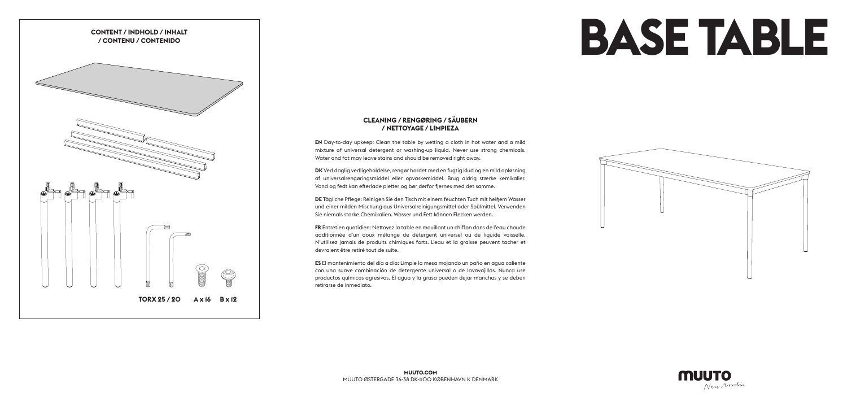## **CLEANING / RENGØRING / SÄUBERN / NETTOYAGE / LIMPIEZA**

**EN** Day-to-day upkeep: Clean the table by wetting a cloth in hot water and a mild mixture of universal detergent or washing-up liquid. Never use strong chemicals. Water and fat may leave stains and should be removed right away.

**DK** Ved daglig vedligeholdelse, rengør bordet med en fugtig klud og en mild opløsning af universalrengøringsmiddel eller opvaskemiddel. Brug aldrig stærke kemikalier. Vand og fedt kan efterlade pletter og bør derfor fjernes med det samme.

**DE** Tägliche Pflege: Reinigen Sie den Tisch mit einem feuchten Tuch mit heißem Wasser und einer milden Mischung aus Universalreinigungsmittel oder Spülmittel. Verwenden Sie niemals starke Chemikalien. Wasser und Fett können Flecken werden.

**FR** Entretien quotidien: Nettoyez la table en mouillant un chiffon dans de l'eau chaude additionnée d'un doux mélange de détergent universel ou de liquide vaisselle. N'utilisez jamais de produits chimiques forts. L'eau et la graisse peuvent tacher et devraient être retiré tout de suite.

**ES** El mantenimiento del día a día: Limpie la mesa mojando un paño en agua caliente con una suave combinación de detergente universal o de lavavajillas. Nunca use productos químicos agresivos. El agua y la grasa pueden dejar manchas y se deben retirarse de inmediato.